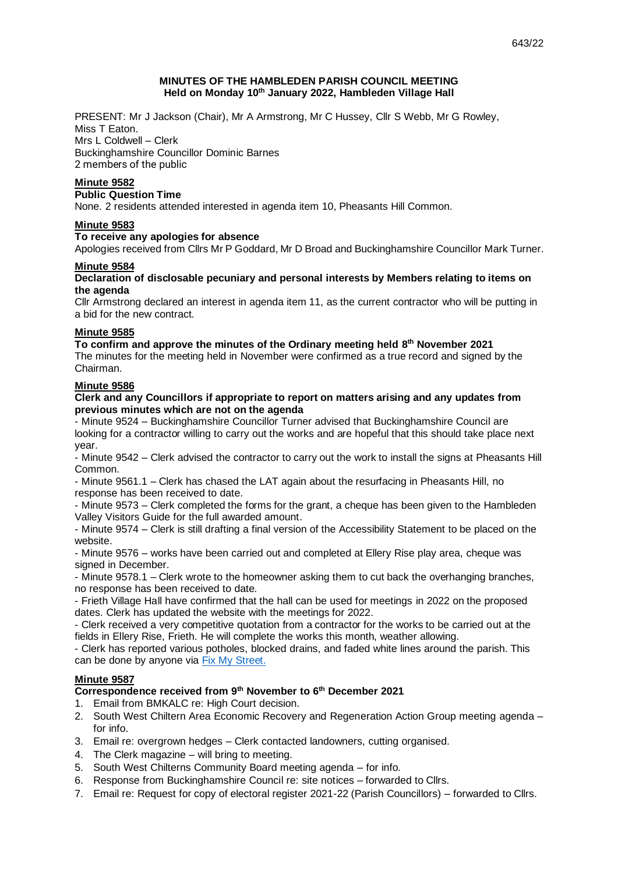## **MINUTES OF THE HAMBLEDEN PARISH COUNCIL MEETING Held on Monday 10 th January 2022, Hambleden Village Hall**

PRESENT: Mr J Jackson (Chair), Mr A Armstrong, Mr C Hussey, Cllr S Webb, Mr G Rowley, Miss T Eaton. Mrs L Coldwell – Clerk Buckinghamshire Councillor Dominic Barnes 2 members of the public

# **Minute 9582**

### **Public Question Time**

None. 2 residents attended interested in agenda item 10, Pheasants Hill Common.

## **Minute 9583**

## **To receive any apologies for absence**

Apologies received from Cllrs Mr P Goddard, Mr D Broad and Buckinghamshire Councillor Mark Turner.

## **Minute 9584**

## **Declaration of disclosable pecuniary and personal interests by Members relating to items on the agenda**

Cllr Armstrong declared an interest in agenda item 11, as the current contractor who will be putting in a bid for the new contract.

### **Minute 9585**

**To confirm and approve the minutes of the Ordinary meeting held 8 th November 2021**  The minutes for the meeting held in November were confirmed as a true record and signed by the Chairman.

## **Minute 9586**

## **Clerk and any Councillors if appropriate to report on matters arising and any updates from previous minutes which are not on the agenda**

- Minute 9524 – Buckinghamshire Councillor Turner advised that Buckinghamshire Council are looking for a contractor willing to carry out the works and are hopeful that this should take place next year.

- Minute 9542 – Clerk advised the contractor to carry out the work to install the signs at Pheasants Hill Common.

- Minute 9561.1 – Clerk has chased the LAT again about the resurfacing in Pheasants Hill, no response has been received to date.

- Minute 9573 – Clerk completed the forms for the grant, a cheque has been given to the Hambleden Valley Visitors Guide for the full awarded amount.

- Minute 9574 – Clerk is still drafting a final version of the Accessibility Statement to be placed on the website.

- Minute 9576 – works have been carried out and completed at Ellery Rise play area, cheque was signed in December.

- Minute 9578.1 – Clerk wrote to the homeowner asking them to cut back the overhanging branches, no response has been received to date.

- Frieth Village Hall have confirmed that the hall can be used for meetings in 2022 on the proposed dates. Clerk has updated the website with the meetings for 2022.

- Clerk received a very competitive quotation from a contractor for the works to be carried out at the fields in Ellery Rise, Frieth. He will complete the works this month, weather allowing.

- Clerk has reported various potholes, blocked drains, and faded white lines around the parish. This can be done by anyone via [Fix My Street.](https://www.fixmystreet.com/)

# **Minute 9587**

## **Correspondence received from 9th November to 6th December 2021**

- 1. Email from BMKALC re: High Court decision.
- 2. South West Chiltern Area Economic Recovery and Regeneration Action Group meeting agenda for info.
- 3. Email re: overgrown hedges Clerk contacted landowners, cutting organised.
- 4. The Clerk magazine will bring to meeting.
- 5. South West Chilterns Community Board meeting agenda for info.
- 6. Response from Buckinghamshire Council re: site notices forwarded to Cllrs.
- 7. Email re: Request for copy of electoral register 2021-22 (Parish Councillors) forwarded to Cllrs.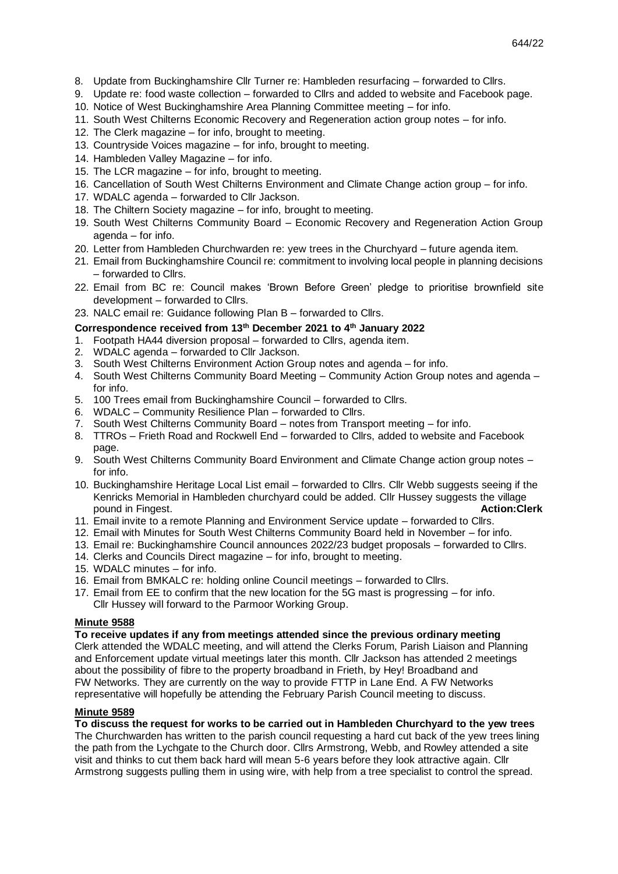- 8. Update from Buckinghamshire Cllr Turner re: Hambleden resurfacing forwarded to Cllrs.
- 9. Update re: food waste collection forwarded to Cllrs and added to website and Facebook page.
- 10. Notice of West Buckinghamshire Area Planning Committee meeting for info.
- 11. South West Chilterns Economic Recovery and Regeneration action group notes for info.
- 12. The Clerk magazine for info, brought to meeting.
- 13. Countryside Voices magazine for info, brought to meeting.
- 14. Hambleden Valley Magazine for info.
- 15. The LCR magazine for info, brought to meeting.
- 16. Cancellation of South West Chilterns Environment and Climate Change action group for info.
- 17. WDALC agenda forwarded to Cllr Jackson.
- 18. The Chiltern Society magazine for info, brought to meeting.
- 19. South West Chilterns Community Board Economic Recovery and Regeneration Action Group agenda – for info.
- 20. Letter from Hambleden Churchwarden re: yew trees in the Churchyard future agenda item.
- 21. Email from Buckinghamshire Council re: commitment to involving local people in planning decisions – forwarded to Cllrs.
- 22. Email from BC re: Council makes 'Brown Before Green' pledge to prioritise brownfield site development – forwarded to Cllrs.
- 23. NALC email re: Guidance following Plan B forwarded to Cllrs.

## **Correspondence received from 13th December 2021 to 4th January 2022**

- 1. Footpath HA44 diversion proposal forwarded to Cllrs, agenda item.
- 2. WDALC agenda forwarded to Cllr Jackson.
- 3. South West Chilterns Environment Action Group notes and agenda for info.
- 4. South West Chilterns Community Board Meeting Community Action Group notes and agenda for info.
- 5. 100 Trees email from Buckinghamshire Council forwarded to Cllrs.
- 6. WDALC Community Resilience Plan forwarded to Cllrs.
- 7. South West Chilterns Community Board notes from Transport meeting for info.
- 8. TTROs Frieth Road and Rockwell End forwarded to Cllrs, added to website and Facebook page.
- 9. South West Chilterns Community Board Environment and Climate Change action group notes for info.
- 10. Buckinghamshire Heritage Local List email forwarded to Cllrs. Cllr Webb suggests seeing if the Kenricks Memorial in Hambleden churchyard could be added. Cllr Hussey suggests the village pound in Fingest. **Action:Clerk**
- 11. Email invite to a remote Planning and Environment Service update forwarded to Cllrs.
- 12. Email with Minutes for South West Chilterns Community Board held in November for info.
- 13. Email re: Buckinghamshire Council announces 2022/23 budget proposals forwarded to Cllrs.
- 14. Clerks and Councils Direct magazine for info, brought to meeting.
- 15. WDALC minutes for info.
- 16. Email from BMKALC re: holding online Council meetings forwarded to Cllrs.
- 17. Email from EE to confirm that the new location for the 5G mast is progressing for info. Cllr Hussey will forward to the Parmoor Working Group.

## **Minute 9588**

**To receive updates if any from meetings attended since the previous ordinary meeting** Clerk attended the WDALC meeting, and will attend the Clerks Forum, Parish Liaison and Planning and Enforcement update virtual meetings later this month. Cllr Jackson has attended 2 meetings about the possibility of fibre to the property broadband in Frieth, by Hey! Broadband and FW Networks. They are currently on the way to provide FTTP in Lane End. A FW Networks representative will hopefully be attending the February Parish Council meeting to discuss.

# **Minute 9589**

**To discuss the request for works to be carried out in Hambleden Churchyard to the yew trees**

The Churchwarden has written to the parish council requesting a hard cut back of the yew trees lining the path from the Lychgate to the Church door. Cllrs Armstrong, Webb, and Rowley attended a site visit and thinks to cut them back hard will mean 5-6 years before they look attractive again. Cllr Armstrong suggests pulling them in using wire, with help from a tree specialist to control the spread.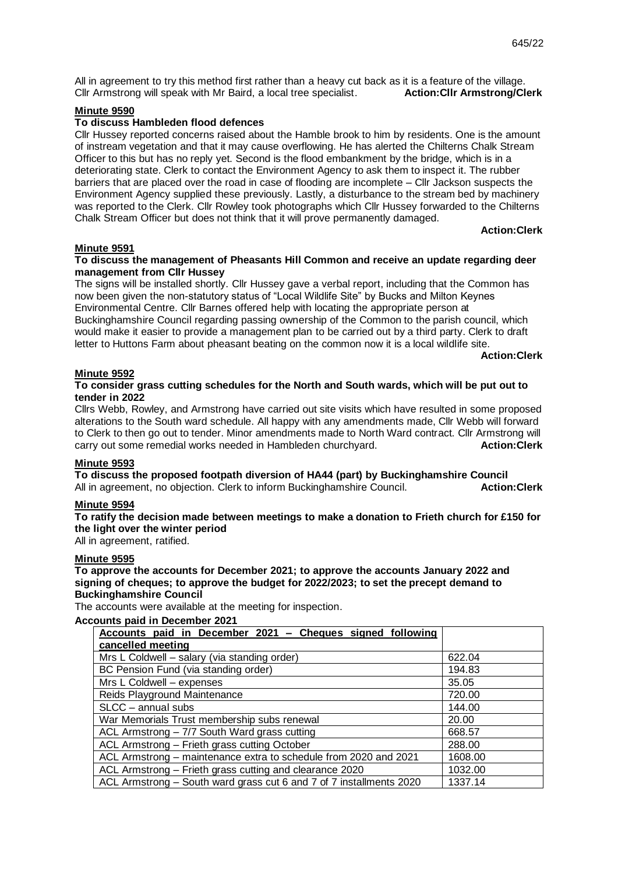All in agreement to try this method first rather than a heavy cut back as it is a feature of the village. Cllr Armstrong will speak with Mr Baird, a local tree specialist. **Action:Cllr Armstrong/Clerk**

## **Minute 9590**

### **To discuss Hambleden flood defences**

Cllr Hussey reported concerns raised about the Hamble brook to him by residents. One is the amount of instream vegetation and that it may cause overflowing. He has alerted the Chilterns Chalk Stream Officer to this but has no reply yet. Second is the flood embankment by the bridge, which is in a deteriorating state. Clerk to contact the Environment Agency to ask them to inspect it. The rubber barriers that are placed over the road in case of flooding are incomplete – Cllr Jackson suspects the Environment Agency supplied these previously. Lastly, a disturbance to the stream bed by machinery was reported to the Clerk. Cllr Rowley took photographs which Cllr Hussey forwarded to the Chilterns Chalk Stream Officer but does not think that it will prove permanently damaged.

 **Action:Clerk**

### **Minute 9591**

## **To discuss the management of Pheasants Hill Common and receive an update regarding deer management from Cllr Hussey**

The signs will be installed shortly. Cllr Hussey gave a verbal report, including that the Common has now been given the non-statutory status of "Local Wildlife Site" by Bucks and Milton Keynes Environmental Centre. Cllr Barnes offered help with locating the appropriate person at Buckinghamshire Council regarding passing ownership of the Common to the parish council, which would make it easier to provide a management plan to be carried out by a third party. Clerk to draft letter to Huttons Farm about pheasant beating on the common now it is a local wildlife site.

**Action:Clerk**

# **Minute 9592**

## **To consider grass cutting schedules for the North and South wards, which will be put out to tender in 2022**

Cllrs Webb, Rowley, and Armstrong have carried out site visits which have resulted in some proposed alterations to the South ward schedule. All happy with any amendments made, Cllr Webb will forward to Clerk to then go out to tender. Minor amendments made to North Ward contract. Cllr Armstrong will carry out some remedial works needed in Hambleden churchyard. **Action:Clerk**

## **Minute 9593**

**To discuss the proposed footpath diversion of HA44 (part) by Buckinghamshire Council** All in agreement, no objection. Clerk to inform Buckinghamshire Council. **Action:Clerk**

# **Minute 9594**

**To ratify the decision made between meetings to make a donation to Frieth church for £150 for the light over the winter period** 

### All in agreement, ratified.

#### **Minute 9595**

**To approve the accounts for December 2021; to approve the accounts January 2022 and signing of cheques; to approve the budget for 2022/2023; to set the precept demand to Buckinghamshire Council**

The accounts were available at the meeting for inspection.

#### **Accounts paid in December 2021**

| Accounts paid in December 2021 - Cheques signed following           |         |
|---------------------------------------------------------------------|---------|
| cancelled meeting                                                   |         |
| Mrs L Coldwell - salary (via standing order)                        | 622.04  |
| BC Pension Fund (via standing order)                                | 194.83  |
| Mrs L Coldwell - expenses                                           | 35.05   |
| Reids Playground Maintenance                                        | 720.00  |
| SLCC - annual subs                                                  | 144.00  |
| War Memorials Trust membership subs renewal                         | 20.00   |
| ACL Armstrong - 7/7 South Ward grass cutting                        | 668.57  |
| ACL Armstrong - Frieth grass cutting October                        | 288.00  |
| ACL Armstrong – maintenance extra to schedule from 2020 and 2021    | 1608.00 |
| ACL Armstrong - Frieth grass cutting and clearance 2020             | 1032.00 |
| ACL Armstrong – South ward grass cut 6 and 7 of 7 installments 2020 | 1337.14 |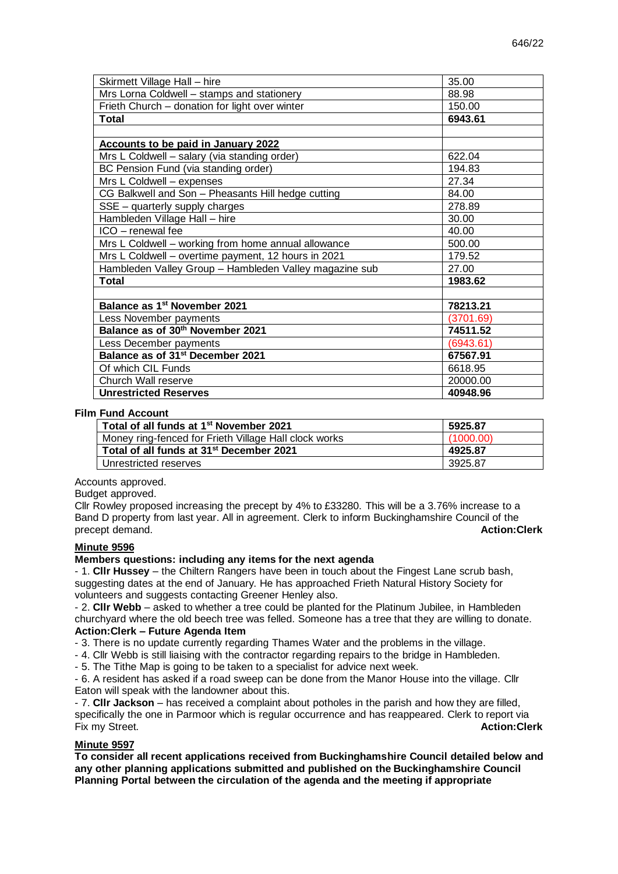| Skirmett Village Hall - hire                           | 35.00     |
|--------------------------------------------------------|-----------|
| Mrs Lorna Coldwell - stamps and stationery             | 88.98     |
| Frieth Church - donation for light over winter         | 150.00    |
| Total                                                  | 6943.61   |
|                                                        |           |
| <b>Accounts to be paid in January 2022</b>             |           |
| Mrs L Coldwell - salary (via standing order)           | 622.04    |
| BC Pension Fund (via standing order)                   | 194.83    |
| Mrs L Coldwell - expenses                              | 27.34     |
| CG Balkwell and Son - Pheasants Hill hedge cutting     | 84.00     |
| SSE – quarterly supply charges                         | 278.89    |
| Hambleden Village Hall - hire                          | 30.00     |
| ICO - renewal fee                                      | 40.00     |
| Mrs L Coldwell - working from home annual allowance    | 500.00    |
| Mrs L Coldwell - overtime payment, 12 hours in 2021    | 179.52    |
| Hambleden Valley Group - Hambleden Valley magazine sub | 27.00     |
| <b>Total</b>                                           | 1983.62   |
|                                                        |           |
| Balance as 1st November 2021                           | 78213.21  |
| Less November payments                                 | (3701.69) |
| Balance as of 30th November 2021                       | 74511.52  |
| Less December payments                                 | (6943.61) |
| Balance as of 31 <sup>st</sup> December 2021           | 67567.91  |
| Of which CIL Funds                                     | 6618.95   |
| Church Wall reserve                                    | 20000.00  |
| <b>Unrestricted Reserves</b>                           | 40948.96  |

### **Film Fund Account**

| Total of all funds at 1 <sup>st</sup> November 2021   | 5925.87   |
|-------------------------------------------------------|-----------|
| Money ring-fenced for Frieth Village Hall clock works | (1000.00) |
| Total of all funds at 31 <sup>st</sup> December 2021  | 4925.87   |
| Unrestricted reserves                                 | 3925.87   |

Accounts approved.

Budget approved.

Cllr Rowley proposed increasing the precept by 4% to £33280. This will be a 3.76% increase to a Band D property from last year. All in agreement. Clerk to inform Buckinghamshire Council of the precept demand. **Action:Clerk**

#### **Minute 9596**

#### **Members questions: including any items for the next agenda**

- 1. **Cllr Hussey** – the Chiltern Rangers have been in touch about the Fingest Lane scrub bash, suggesting dates at the end of January. He has approached Frieth Natural History Society for volunteers and suggests contacting Greener Henley also.

- 2. **Cllr Webb** – asked to whether a tree could be planted for the Platinum Jubilee, in Hambleden churchyard where the old beech tree was felled. Someone has a tree that they are willing to donate. **Action:Clerk – Future Agenda Item**

- 3. There is no update currently regarding Thames Water and the problems in the village.

- 4. Cllr Webb is still liaising with the contractor regarding repairs to the bridge in Hambleden.

- 5. The Tithe Map is going to be taken to a specialist for advice next week.

- 6. A resident has asked if a road sweep can be done from the Manor House into the village. Cllr Eaton will speak with the landowner about this.

- 7. **Cllr Jackson** – has received a complaint about potholes in the parish and how they are filled, specifically the one in Parmoor which is regular occurrence and has reappeared. Clerk to report via Fix my Street. **Action:Clerk**

## **Minute 9597**

**To consider all recent applications received from Buckinghamshire Council detailed below and any other planning applications submitted and published on the Buckinghamshire Council Planning Portal between the circulation of the agenda and the meeting if appropriate**